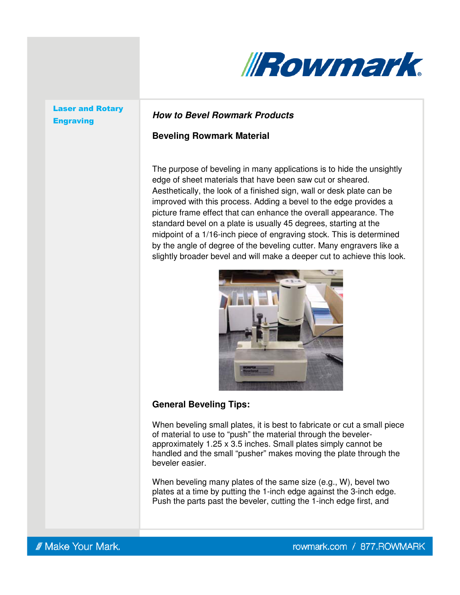

# Laser and Rotary

## Engraving **How to Bevel Rowmark Products**

### **Beveling Rowmark Material**

The purpose of beveling in many applications is to hide the unsightly edge of sheet materials that have been saw cut or sheared. Aesthetically, the look of a finished sign, wall or desk plate can be improved with this process. Adding a bevel to the edge provides a picture frame effect that can enhance the overall appearance. The standard bevel on a plate is usually 45 degrees, starting at the midpoint of a 1/16-inch piece of engraving stock. This is determined by the angle of degree of the beveling cutter. Many engravers like a slightly broader bevel and will make a deeper cut to achieve this look.



### **General Beveling Tips:**

When beveling small plates, it is best to fabricate or cut a small piece of material to use to "push" the material through the bevelerapproximately 1.25 x 3.5 inches. Small plates simply cannot be handled and the small "pusher" makes moving the plate through the beveler easier.

When beveling many plates of the same size (e.g., W), bevel two plates at a time by putting the 1-inch edge against the 3-inch edge. Push the parts past the beveler, cutting the 1-inch edge first, and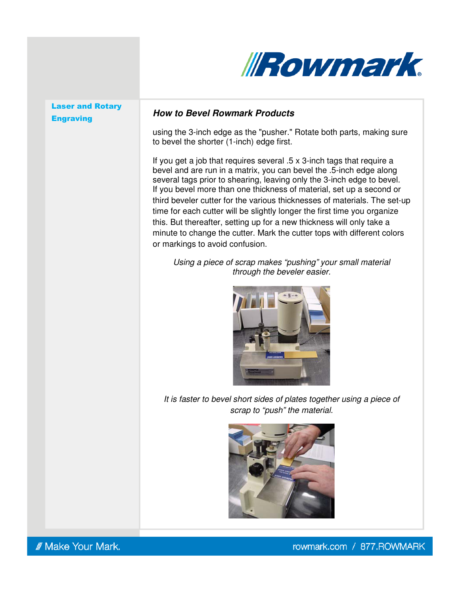

# Laser and Rotary

### Engraving **How to Bevel Rowmark Products**

using the 3-inch edge as the "pusher." Rotate both parts, making sure to bevel the shorter (1-inch) edge first.

If you get a job that requires several .5 x 3-inch tags that require a bevel and are run in a matrix, you can bevel the .5-inch edge along several tags prior to shearing, leaving only the 3-inch edge to bevel. If you bevel more than one thickness of material, set up a second or third beveler cutter for the various thicknesses of materials. The set-up time for each cutter will be slightly longer the first time you organize this. But thereafter, setting up for a new thickness will only take a minute to change the cutter. Mark the cutter tops with different colors or markings to avoid confusion.

Using a piece of scrap makes "pushing" your small material through the beveler easier.



It is faster to bevel short sides of plates together using a piece of scrap to "push" the material.